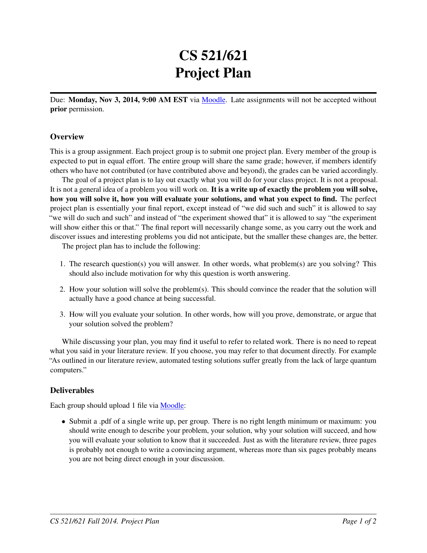## CS 521/621 Project Plan

Due: Monday, Nov 3, 2014, 9:00 AM EST via [Moodle.](https://moodle.umass.edu/course/view.php?id=17268) Late assignments will not be accepted without prior permission.

## **Overview**

This is a group assignment. Each project group is to submit one project plan. Every member of the group is expected to put in equal effort. The entire group will share the same grade; however, if members identify others who have not contributed (or have contributed above and beyond), the grades can be varied accordingly.

The goal of a project plan is to lay out exactly what you will do for your class project. It is not a proposal. It is not a general idea of a problem you will work on. It is a write up of exactly the problem you will solve, how you will solve it, how you will evaluate your solutions, and what you expect to find. The perfect project plan is essentially your final report, except instead of "we did such and such" it is allowed to say "we will do such and such" and instead of "the experiment showed that" it is allowed to say "the experiment will show either this or that." The final report will necessarily change some, as you carry out the work and discover issues and interesting problems you did not anticipate, but the smaller these changes are, the better.

The project plan has to include the following:

- 1. The research question(s) you will answer. In other words, what problem(s) are you solving? This should also include motivation for why this question is worth answering.
- 2. How your solution will solve the problem(s). This should convince the reader that the solution will actually have a good chance at being successful.
- 3. How will you evaluate your solution. In other words, how will you prove, demonstrate, or argue that your solution solved the problem?

While discussing your plan, you may find it useful to refer to related work. There is no need to repeat what you said in your literature review. If you choose, you may refer to that document directly. For example "As outlined in our literature review, automated testing solutions suffer greatly from the lack of large quantum computers."

## Deliverables

Each group should upload 1 file via [Moodle:](https://moodle.umass.edu/course/view.php?id=10479)

• Submit a .pdf of a single write up, per group. There is no right length minimum or maximum: you should write enough to describe your problem, your solution, why your solution will succeed, and how you will evaluate your solution to know that it succeeded. Just as with the literature review, three pages is probably not enough to write a convincing argument, whereas more than six pages probably means you are not being direct enough in your discussion.